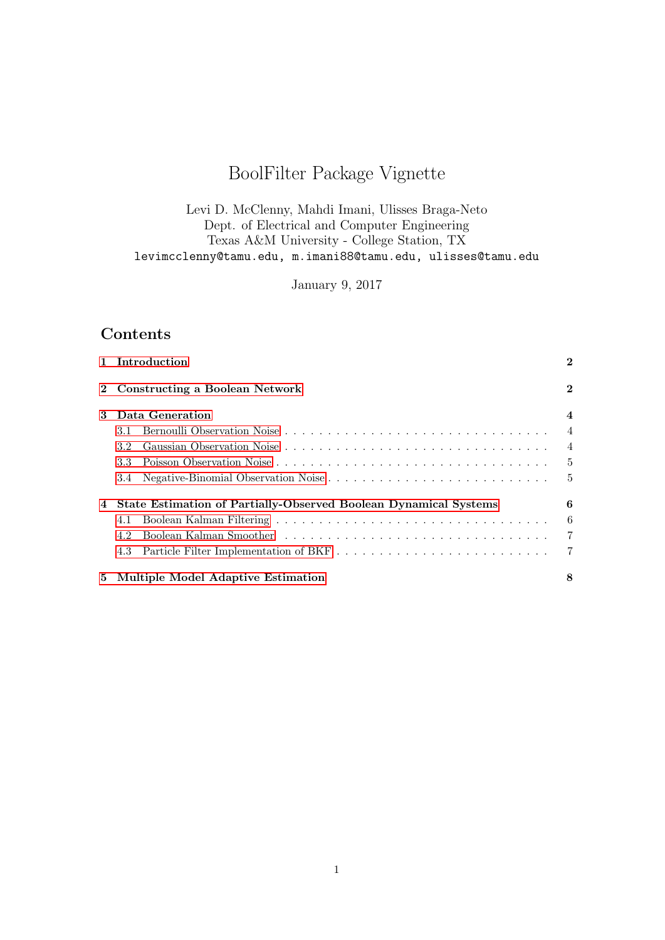# BoolFilter Package Vignette

Levi D. McClenny, Mahdi Imani, Ulisses Braga-Neto Dept. of Electrical and Computer Engineering Texas A&M University - College Station, TX levimcclenny@tamu.edu, m.imani88@tamu.edu, ulisses@tamu.edu

January 9, 2017

# Contents

|             | 1 Introduction                                                          | $\overline{2}$   |
|-------------|-------------------------------------------------------------------------|------------------|
| $2^{\circ}$ | <b>Constructing a Boolean Network</b>                                   | $\overline{2}$   |
| 3           | Data Generation                                                         | $\boldsymbol{4}$ |
|             | 3.1                                                                     | $\overline{4}$   |
|             | 3.2                                                                     | $\overline{4}$   |
|             | 3.3                                                                     | $5^{\circ}$      |
|             | 3.4 Negative-Binomial Observation Noise                                 | $-5$             |
| 4           | <b>State Estimation of Partially-Observed Boolean Dynamical Systems</b> | 6                |
|             | 4.1                                                                     | 6                |
|             | 4.2                                                                     | $\overline{7}$   |
|             | 4.3                                                                     | $\overline{7}$   |
|             | 5 Multiple Model Adaptive Estimation                                    | 8                |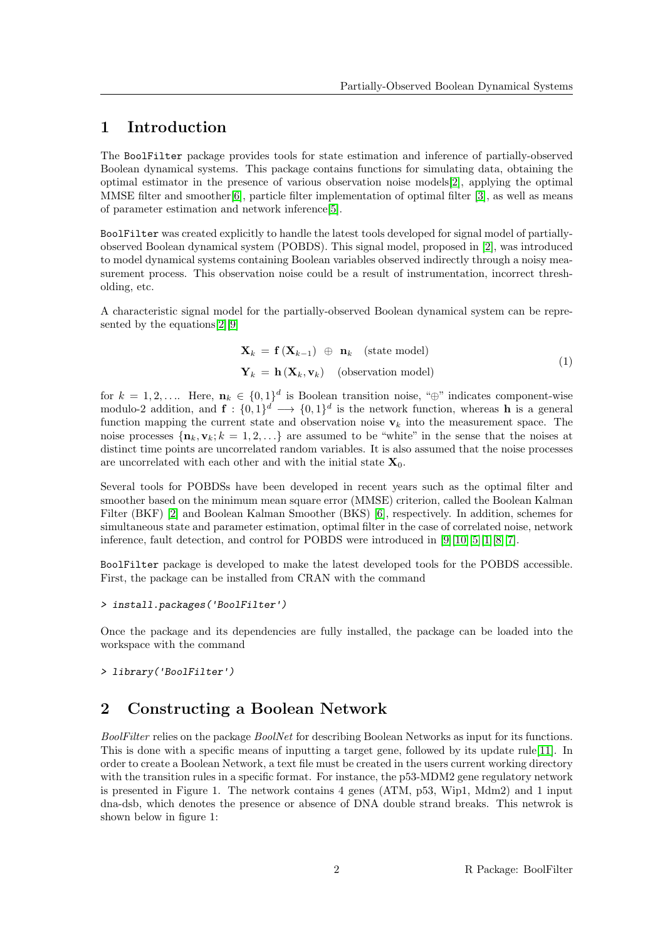# <span id="page-1-0"></span>1 Introduction

The BoolFilter package provides tools for state estimation and inference of partially-observed Boolean dynamical systems. This package contains functions for simulating data, obtaining the optimal estimator in the presence of various observation noise models[\[2\]](#page-9-0), applying the optimal MMSE filter and smoother[\[6\]](#page-9-1), particle filter implementation of optimal filter [\[3\]](#page-9-2), as well as means of parameter estimation and network inference[\[5\]](#page-9-3).

BoolFilter was created explicitly to handle the latest tools developed for signal model of partiallyobserved Boolean dynamical system (POBDS). This signal model, proposed in [\[2\]](#page-9-0), was introduced to model dynamical systems containing Boolean variables observed indirectly through a noisy measurement process. This observation noise could be a result of instrumentation, incorrect thresholding, etc.

A characteristic signal model for the partially-observed Boolean dynamical system can be represented by the equations[\[2\]](#page-9-0)[\[9\]](#page-9-4)

$$
\mathbf{X}_{k} = \mathbf{f}(\mathbf{X}_{k-1}) \oplus \mathbf{n}_{k} \quad \text{(state model)}\n\mathbf{Y}_{k} = \mathbf{h}(\mathbf{X}_{k}, \mathbf{v}_{k}) \quad \text{(observation model)}\n\tag{1}
$$

for  $k = 1, 2, \ldots$  Here,  $\mathbf{n}_k \in \{0, 1\}^d$  is Boolean transition noise, " $\oplus$ " indicates component-wise modulo-2 addition, and  $f: \{0,1\}^d \longrightarrow \{0,1\}^d$  is the network function, whereas h is a general function mapping the current state and observation noise  $v_k$  into the measurement space. The noise processes  $\{n_k, v_k; k = 1, 2, \ldots\}$  are assumed to be "white" in the sense that the noises at distinct time points are uncorrelated random variables. It is also assumed that the noise processes are uncorrelated with each other and with the initial state  $X_0$ .

Several tools for POBDSs have been developed in recent years such as the optimal filter and smoother based on the minimum mean square error (MMSE) criterion, called the Boolean Kalman Filter (BKF) [\[2\]](#page-9-0) and Boolean Kalman Smoother (BKS) [\[6\]](#page-9-1), respectively. In addition, schemes for simultaneous state and parameter estimation, optimal filter in the case of correlated noise, network inference, fault detection, and control for POBDS were introduced in [\[9\]](#page-9-4)[\[10\]](#page-9-5)[\[5\]](#page-9-3)[\[1\]](#page-9-6)[\[8\]](#page-9-7)[\[7\]](#page-9-8).

BoolFilter package is developed to make the latest developed tools for the POBDS accessible. First, the package can be installed from CRAN with the command

```
> install.packages('BoolFilter')
```
Once the package and its dependencies are fully installed, the package can be loaded into the workspace with the command

> library('BoolFilter')

# <span id="page-1-1"></span>2 Constructing a Boolean Network

BoolFilter relies on the package BoolNet for describing Boolean Networks as input for its functions. This is done with a specific means of inputting a target gene, followed by its update rule[\[11\]](#page-9-9). In order to create a Boolean Network, a text file must be created in the users current working directory with the transition rules in a specific format. For instance, the p53-MDM2 gene regulatory network is presented in Figure 1. The network contains 4 genes (ATM, p53, Wip1, Mdm2) and 1 input dna-dsb, which denotes the presence or absence of DNA double strand breaks. This netwrok is shown below in figure 1: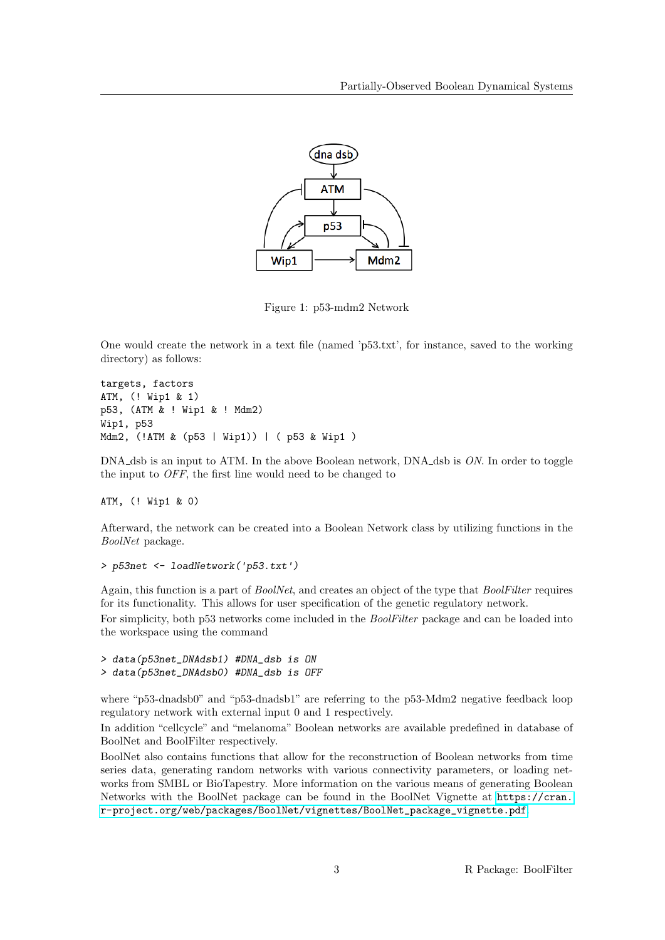

Figure 1: p53-mdm2 Network

One would create the network in a text file (named 'p53.txt', for instance, saved to the working directory) as follows:

```
targets, factors
ATM, (! Wip1 & 1)
p53, (ATM & ! Wip1 & ! Mdm2)
Wip1, p53
Mdm2, (!ATM & (p53 | Wip1)) | ( p53 & Wip1 )
```
DNA\_dsb is an input to ATM. In the above Boolean network, DNA\_dsb is ON. In order to toggle the input to OFF, the first line would need to be changed to

ATM, (! Wip1 & 0)

Afterward, the network can be created into a Boolean Network class by utilizing functions in the BoolNet package.

```
> p53net <- loadNetwork('p53.txt')
```
Again, this function is a part of BoolNet, and creates an object of the type that BoolFilter requires for its functionality. This allows for user specification of the genetic regulatory network.

For simplicity, both p53 networks come included in the BoolFilter package and can be loaded into the workspace using the command

```
> data(p53net_DNAdsb1) #DNA_dsb is ON
> data(p53net_DNAdsb0) #DNA_dsb is OFF
```
where "p53-dnadsb0" and "p53-dnadsb1" are referring to the p53-Mdm2 negative feedback loop regulatory network with external input 0 and 1 respectively.

In addition "cellcycle" and "melanoma" Boolean networks are available predefined in database of BoolNet and BoolFilter respectively.

BoolNet also contains functions that allow for the reconstruction of Boolean networks from time series data, generating random networks with various connectivity parameters, or loading networks from SMBL or BioTapestry. More information on the various means of generating Boolean Networks with the BoolNet package can be found in the BoolNet Vignette at [https://cran.](https://cran.r-project.org/web/packages/BoolNet/vignettes/BoolNet_package_vignette.pdf) [r-project.org/web/packages/BoolNet/vignettes/BoolNet\\_package\\_vignette.pdf](https://cran.r-project.org/web/packages/BoolNet/vignettes/BoolNet_package_vignette.pdf).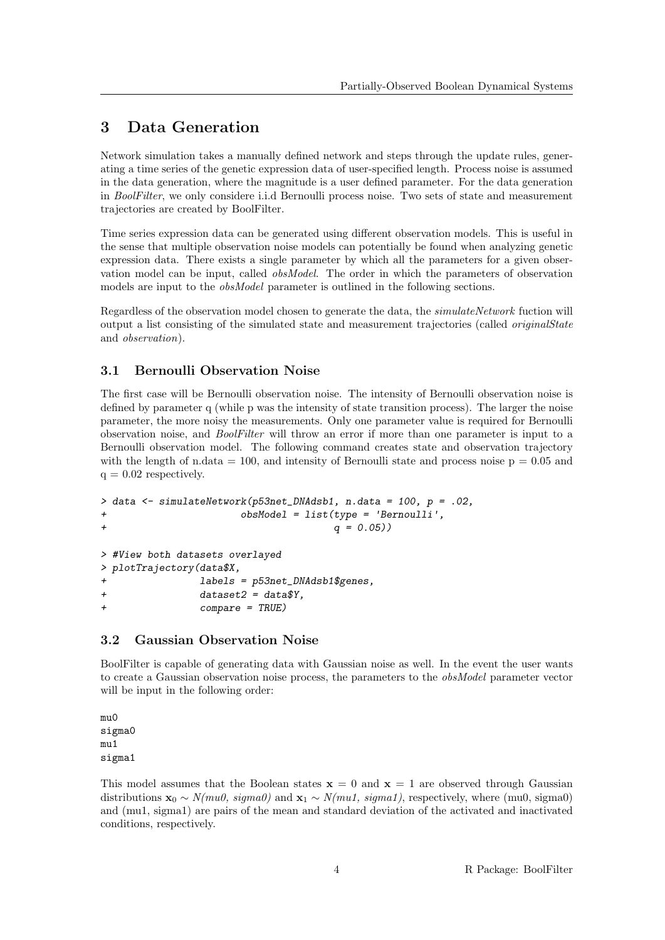# <span id="page-3-0"></span>3 Data Generation

Network simulation takes a manually defined network and steps through the update rules, generating a time series of the genetic expression data of user-specified length. Process noise is assumed in the data generation, where the magnitude is a user defined parameter. For the data generation in BoolFilter, we only considere i.i.d Bernoulli process noise. Two sets of state and measurement trajectories are created by BoolFilter.

Time series expression data can be generated using different observation models. This is useful in the sense that multiple observation noise models can potentially be found when analyzing genetic expression data. There exists a single parameter by which all the parameters for a given observation model can be input, called obsModel. The order in which the parameters of observation models are input to the *obsModel* parameter is outlined in the following sections.

Regardless of the observation model chosen to generate the data, the simulateNetwork fuction will output a list consisting of the simulated state and measurement trajectories (called originalState and observation).

## <span id="page-3-1"></span>3.1 Bernoulli Observation Noise

The first case will be Bernoulli observation noise. The intensity of Bernoulli observation noise is defined by parameter q (while p was the intensity of state transition process). The larger the noise parameter, the more noisy the measurements. Only one parameter value is required for Bernoulli observation noise, and BoolFilter will throw an error if more than one parameter is input to a Bernoulli observation model. The following command creates state and observation trajectory with the length of n.data  $= 100$ , and intensity of Bernoulli state and process noise  $p = 0.05$  and  $q = 0.02$  respectively.

```
> data <- simulateNetwork(p53net_DNAdsb1, n.data = 100, p = .02,
+ obsModel = list(type = 'Bernoulli',
+ q = 0.05))
```

```
> #View both datasets overlayed
> plotTrajectory(data$X,
+ labels = p53net_DNAdsb1$genes,
+ dataset2 = data$Y,
+ compare = TRUE)
```
## <span id="page-3-2"></span>3.2 Gaussian Observation Noise

BoolFilter is capable of generating data with Gaussian noise as well. In the event the user wants to create a Gaussian observation noise process, the parameters to the obsModel parameter vector will be input in the following order:

mu0 sigma0 mu1 sigma1

This model assumes that the Boolean states  $x = 0$  and  $x = 1$  are observed through Gaussian distributions  $\mathbf{x}_0 \sim N(mu0, \text{sigma}0)$  and  $\mathbf{x}_1 \sim N(mu1, \text{sigma}1)$ , respectively, where (mu0, sigma0) and (mu1, sigma1) are pairs of the mean and standard deviation of the activated and inactivated conditions, respectively.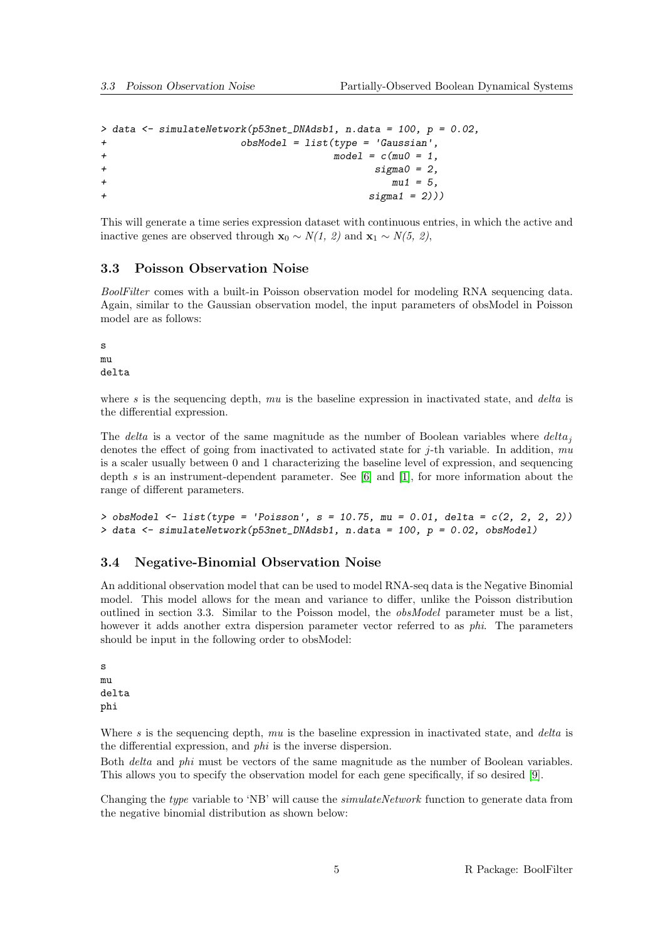```
> data <- simulateNetwork(p53net_DNAdsb1, n.data = 100, p = 0.02,
+ obsModel = list(type = 'Gaussian',
+ model = c(mu0) = 1,
+ sigma0 = 2,
+ mu1 = 5,
+ sigma1 = 2)))
```
This will generate a time series expression dataset with continuous entries, in which the active and inactive genes are observed through  $\mathbf{x}_0 \sim N(1, 2)$  and  $\mathbf{x}_1 \sim N(5, 2)$ ,

#### <span id="page-4-0"></span>3.3 Poisson Observation Noise

BoolFilter comes with a built-in Poisson observation model for modeling RNA sequencing data. Again, similar to the Gaussian observation model, the input parameters of obsModel in Poisson model are as follows:

s mu delta

where  $s$  is the sequencing depth,  $mu$  is the baseline expression in inactivated state, and *delta* is the differential expression.

The delta is a vector of the same magnitude as the number of Boolean variables where  $delta_i$ denotes the effect of going from inactivated to activated state for  $j$ -th variable. In addition,  $mu$ is a scaler usually between 0 and 1 characterizing the baseline level of expression, and sequencing depth s is an instrument-dependent parameter. See  $[6]$  and  $[1]$ , for more information about the range of different parameters.

```
> obsModel \le list(type = 'Poisson', s = 10.75, mu = 0.01, delta = c(2, 2, 2, 2))
> data \le simulateNetwork(p53net_DNAdsb1, n.data = 100, p = 0.02, obsModel)
```
#### <span id="page-4-1"></span>3.4 Negative-Binomial Observation Noise

An additional observation model that can be used to model RNA-seq data is the Negative Binomial model. This model allows for the mean and variance to differ, unlike the Poisson distribution outlined in section 3.3. Similar to the Poisson model, the obsModel parameter must be a list, however it adds another extra dispersion parameter vector referred to as *phi*. The parameters should be input in the following order to obsModel:

s mu delta phi

Where s is the sequencing depth,  $mu$  is the baseline expression in inactivated state, and *delta* is the differential expression, and phi is the inverse dispersion.

Both delta and phi must be vectors of the same magnitude as the number of Boolean variables. This allows you to specify the observation model for each gene specifically, if so desired [\[9\]](#page-9-4).

Changing the type variable to 'NB' will cause the *simulateNetwork* function to generate data from the negative binomial distribution as shown below: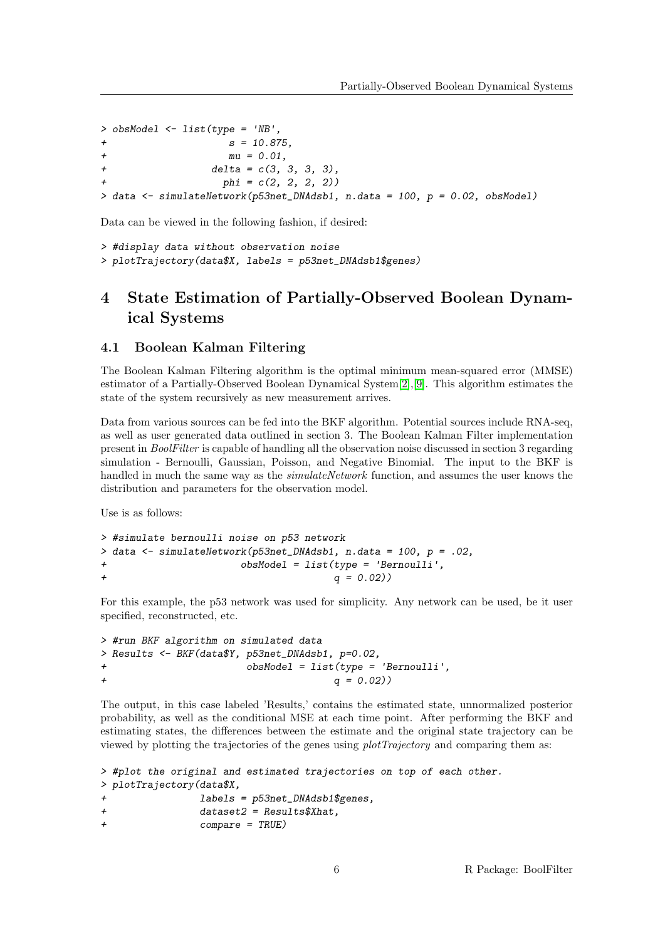```
> obsModel <- list(type = 'NB',
+ s = 10.875,
+ mu = 0.01.
+ delta = c(3, 3, 3, 3),
                phi = c(2, 2, 2, 2))> data \le simulateNetwork(p53net_DNAdsb1, n.data = 100, p = 0.02, obsModel)
```
Data can be viewed in the following fashion, if desired:

```
> #display data without observation noise
> plotTrajectory(data$X, labels = p53net_DNAdsb1$genes)
```
# <span id="page-5-0"></span>4 State Estimation of Partially-Observed Boolean Dynamical Systems

#### <span id="page-5-1"></span>4.1 Boolean Kalman Filtering

The Boolean Kalman Filtering algorithm is the optimal minimum mean-squared error (MMSE) estimator of a Partially-Observed Boolean Dynamical System[\[2\]](#page-9-0),[\[9\]](#page-9-4). This algorithm estimates the state of the system recursively as new measurement arrives.

Data from various sources can be fed into the BKF algorithm. Potential sources include RNA-seq, as well as user generated data outlined in section 3. The Boolean Kalman Filter implementation present in BoolFilter is capable of handling all the observation noise discussed in section 3 regarding simulation - Bernoulli, Gaussian, Poisson, and Negative Binomial. The input to the BKF is handled in much the same way as the *simulateNetwork* function, and assumes the user knows the distribution and parameters for the observation model.

Use is as follows:

```
> #simulate bernoulli noise on p53 network
> data <- simulateNetwork(p53net_DNAdsb1, n.data = 100, p = .02,
+ obsModel = list(type = 'Bernoulli',
+ q = 0.02))
```
For this example, the p53 network was used for simplicity. Any network can be used, be it user specified, reconstructed, etc.

```
> #run BKF algorithm on simulated data
> Results <- BKF(data$Y, p53net_DNAdsb1, p=0.02,
+ obsModel = list(type = 'Bernoulli',
+ q = 0.02))
```
The output, in this case labeled 'Results,' contains the estimated state, unnormalized posterior probability, as well as the conditional MSE at each time point. After performing the BKF and estimating states, the differences between the estimate and the original state trajectory can be viewed by plotting the trajectories of the genes using plotTrajectory and comparing them as:

```
> #plot the original and estimated trajectories on top of each other.
> plotTrajectory(data$X,
              labels = p53net_DNAdsb1$genes,+ dataset2 = Results$Xhat,
+ compare = TRUE)
```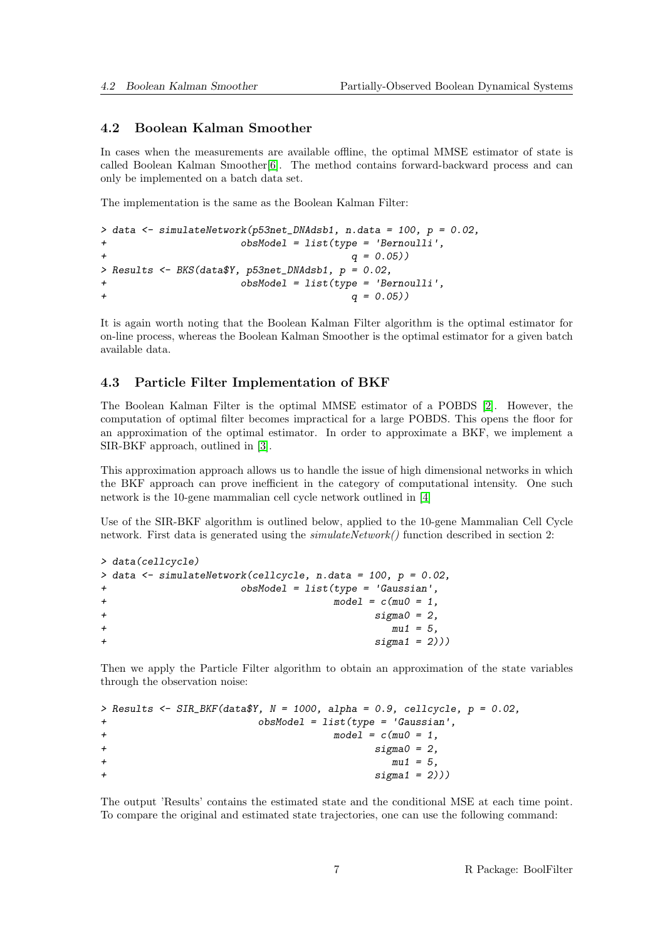#### <span id="page-6-0"></span>4.2 Boolean Kalman Smoother

In cases when the measurements are available offline, the optimal MMSE estimator of state is called Boolean Kalman Smoother[\[6\]](#page-9-1). The method contains forward-backward process and can only be implemented on a batch data set.

The implementation is the same as the Boolean Kalman Filter:

```
> data <- simulateNetwork(p53net_DNAdsb1, n.data = 100, p = 0.02,
+ obsModel = list(type = 'Bernoulli',
+ q = 0.05))
> Results <- BKS(data$Y, p53net_DNAdsb1, p = 0.02,
+ obsModel = list(type = 'Bernoulli',
+ q = 0.05))
```
It is again worth noting that the Boolean Kalman Filter algorithm is the optimal estimator for on-line process, whereas the Boolean Kalman Smoother is the optimal estimator for a given batch available data.

#### <span id="page-6-1"></span>4.3 Particle Filter Implementation of BKF

The Boolean Kalman Filter is the optimal MMSE estimator of a POBDS [\[2\]](#page-9-0). However, the computation of optimal filter becomes impractical for a large POBDS. This opens the floor for an approximation of the optimal estimator. In order to approximate a BKF, we implement a SIR-BKF approach, outlined in [\[3\]](#page-9-2).

This approximation approach allows us to handle the issue of high dimensional networks in which the BKF approach can prove inefficient in the category of computational intensity. One such network is the 10-gene mammalian cell cycle network outlined in [\[4\]](#page-9-10)

Use of the SIR-BKF algorithm is outlined below, applied to the 10-gene Mammalian Cell Cycle network. First data is generated using the  $simulateNetwork()$  function described in section 2:

```
> data(cellcycle)
> data <- simulateNetwork(cellcycle, n.data = 100, p = 0.02,
            obsModel = list(type = 'Gaussian',+ model = c(mu0 = 1,+ sigma0 = 2,
+ mu1 = 5,
+ sigma1 = 2))
```
Then we apply the Particle Filter algorithm to obtain an approximation of the state variables through the observation noise:

```
> Results <- SIR_BKF(data$Y, N = 1000, alpha = 0.9, cellcycle, p = 0.02,
+ obsModel = list(type = 'Gaussian',
+ model = c(mu0 = 1,+ sigma0 = 2,
+ mu1 = 5,
+ sigma1 = 2))
```
The output 'Results' contains the estimated state and the conditional MSE at each time point. To compare the original and estimated state trajectories, one can use the following command: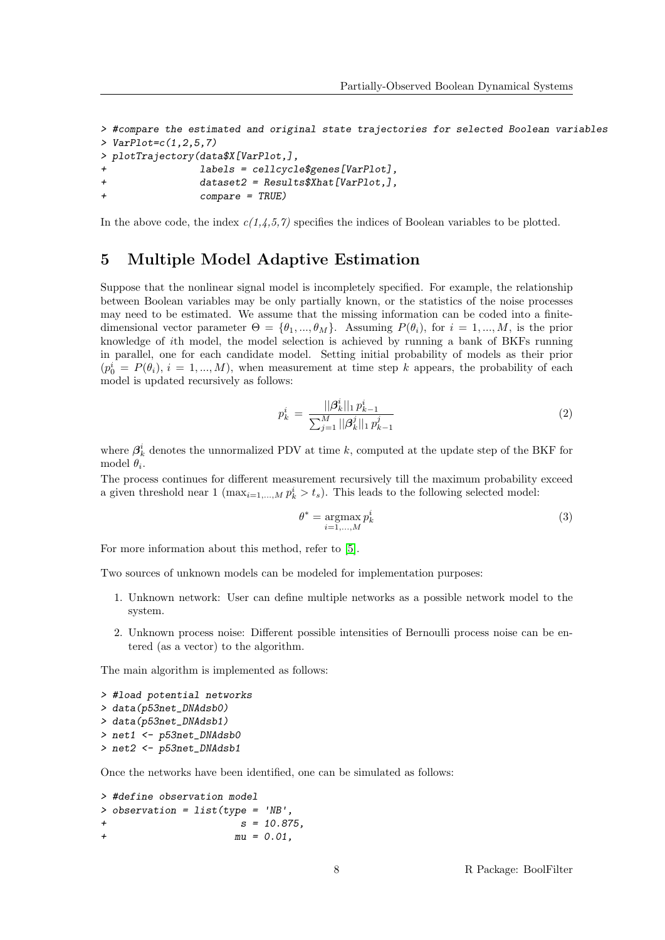```
> #compare the estimated and original state trajectories for selected Boolean variables
> VarPlot=c(1,2,5,7)
> plotTrajectory(data$X[VarPlot,],
               labels = cellcvcle$genes [VarPlot].+ dataset2 = Results$Xhat[VarPlot,],
+ compare = TRUE)
```
In the above code, the index  $c(1,4,5,7)$  specifies the indices of Boolean variables to be plotted.

### <span id="page-7-0"></span>5 Multiple Model Adaptive Estimation

Suppose that the nonlinear signal model is incompletely specified. For example, the relationship between Boolean variables may be only partially known, or the statistics of the noise processes may need to be estimated. We assume that the missing information can be coded into a finitedimensional vector parameter  $\Theta = {\theta_1, ..., \theta_M}$ . Assuming  $P(\theta_i)$ , for  $i = 1, ..., M$ , is the prior knowledge of ith model, the model selection is achieved by running a bank of BKFs running in parallel, one for each candidate model. Setting initial probability of models as their prior  $(p_0^i = P(\theta_i), i = 1, ..., M)$ , when measurement at time step k appears, the probability of each model is updated recursively as follows:

$$
p_k^i \ = \ \frac{||\boldsymbol{\beta}_k^i||_1 \, p_{k-1}^i}{\sum_{j=1}^M ||\boldsymbol{\beta}_k^j||_1 \, p_{k-1}^j} \tag{2}
$$

where  $\beta_k^i$  denotes the unnormalized PDV at time k, computed at the update step of the BKF for model  $\theta_i$ .

The process continues for different measurement recursively till the maximum probability exceed a given threshold near 1 ( $\max_{i=1,\dots,M} p_k^i > t_s$ ). This leads to the following selected model:

$$
\theta^* = \underset{i=1,\dots,M}{\operatorname{argmax}} p_k^i \tag{3}
$$

For more information about this method, refer to [\[5\]](#page-9-3).

Two sources of unknown models can be modeled for implementation purposes:

- 1. Unknown network: User can define multiple networks as a possible network model to the system.
- 2. Unknown process noise: Different possible intensities of Bernoulli process noise can be entered (as a vector) to the algorithm.

The main algorithm is implemented as follows:

```
> #load potential networks
> data(p53net_DNAdsb0)
> data(p53net_DNAdsb1)
> net1 <- p53net_DNAdsb0
> net2 <- p53net_DNAdsb1
```
Once the networks have been identified, one can be simulated as follows:

```
> #define observation model
> observation = list(type = 'NB',
+ s = 10.875+mu = 0.01,
```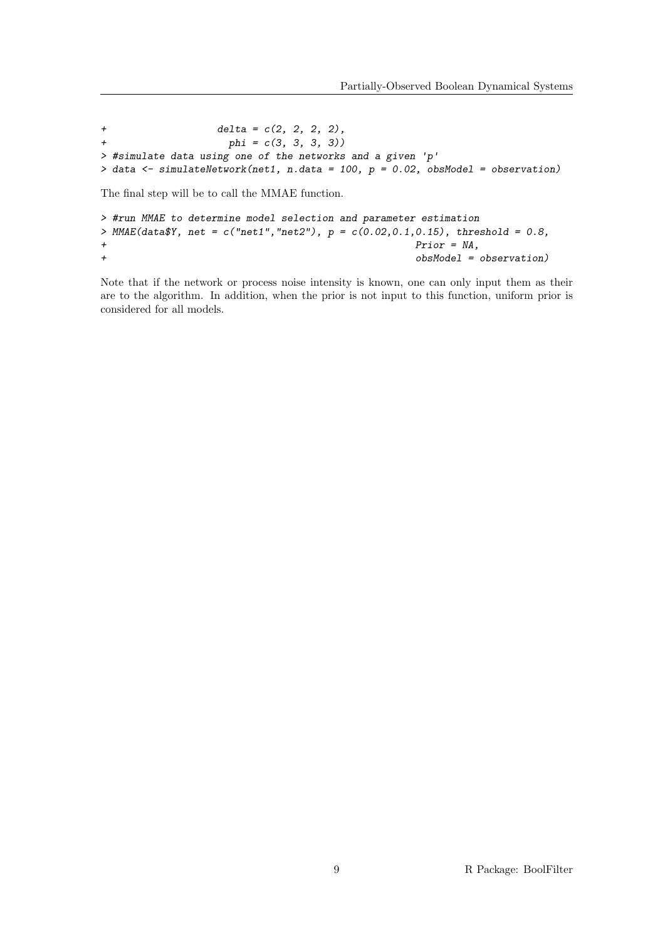```
+ delta = c(2, 2, 2, 2),<br>
+ phi = c(3, 3, 3, 3))phi = c(3, 3, 3, 3)> #simulate data using one of the networks and a given 'p'
> data \le simulateNetwork(net1, n.data = 100, p = 0.02, obsModel = observation)
```
The final step will be to call the MMAE function.

```
> #run MMAE to determine model selection and parameter estimation
> MMAE(data Y, net = c("net1", "net2"), p = c(0.02, 0.1, 0.15), threshold = 0.8,
+ Prior = NA,
+ obsModel = observation)
```
Note that if the network or process noise intensity is known, one can only input them as their are to the algorithm. In addition, when the prior is not input to this function, uniform prior is considered for all models.